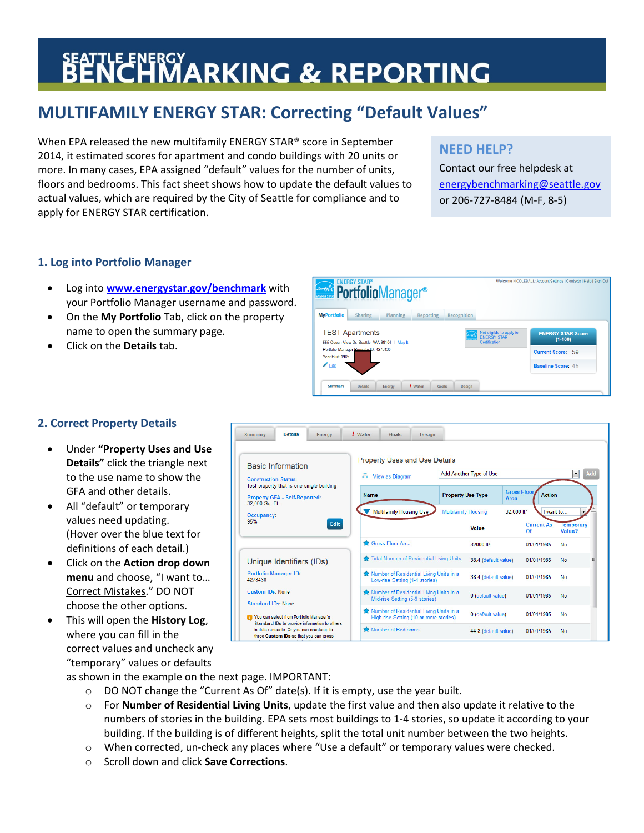# **BENCHMARKING & REPORTING**

## **MULTIFAMILY ENERGY STAR: Correcting "Default Values"**

When EPA released the new multifamily ENERGY STAR® score in September 2014, it estimated scores for apartment and condo buildings with 20 units or more. In many cases, EPA assigned "default" values for the number of units, floors and bedrooms. This fact sheet shows how to update the default values to actual values, which are required by the City of Seattle for compliance and to apply for ENERGY STAR certification.

## **NEED HELP?**

Contact our free helpdesk at energybenchmarking@seattle.gov or 206‐727‐8484 (M‐F, 8‐5)

### **1. Log into Portfolio Manager**

- Log into **www.energystar.gov/benchmark** with your Portfolio Manager username and password.
- On the **My Portfolio** Tab, click on the property name to open the summary page.
- Click on the **Details** tab.



44.8 (default value)

01/01/1985 No

## **2. Correct Property Details**

- Under **"Property Uses and Use Details"** click the triangle next to the use name to show the GFA and other details.
- All "default" or temporary values need updating. (Hover over the blue text for definitions of each detail.)
- Click on the **Action drop down menu** and choose, "I want to… Correct Mistakes." DO NOT choose the other options.
- This will open the **History Log**, where you can fill in the correct values and uncheck any "temporary" values or defaults

Details / Water Goals Design Energy Summary **Property Uses and Use Details Basic Information**  $\boxed{\bullet}$  Add Add Another Type of Use View as Diagram **Construction Status:** Test property that is one single building Gross Flo<br>Area **Name Property Use Type Action** Property GFA - Self-Reported:<br>32,000 Sq. Ft. Multifamily Housing Use Multifamily Housing 32.000 ft<sup>2</sup> want to **Occupancy:**  $95%$ Edit **Current As** Value Value? Gross Floor Area 32000 ft<sup>2</sup> 01/01/1985 **No** Total Number of Residential Living Units 38.4 (default value) 01/01/1985  $N<sub>0</sub>$ Unique Identifiers (IDs) **Portfolio Manager ID:** Number of Residential Living Units in a<br>Low-rise Setting (1-4 stories) 38.4 (default value) 01/01/1985  $Na$ 4278430 Number of Residential Living Units in a **Custom IDs: None** 0 (default value) 01/01/1985 No Mid-rise Setting (5-9 storie **Standard IDs: None** Number of Residential Living Units in a<br>High-rise Setting (10 or more stories) 0 (default value) 01/01/1985 No Vou can select from Portfolio Manager's Standard IDs to provide information to others

Number of Bedrooms

as shown in the example on the next page. IMPORTANT:

 $\circ$  DO NOT change the "Current As Of" date(s). If it is empty, use the year built.

in data requests. Or you can create up to<br>three Custom IDs so that you can cross

- o For **Number of Residential Living Units**, update the first value and then also update it relative to the numbers of stories in the building. EPA sets most buildings to 1‐4 stories, so update it according to your building. If the building is of different heights, split the total unit number between the two heights.
- o When corrected, un‐check any places where "Use a default" or temporary values were checked.
- o Scroll down and click **Save Corrections**.